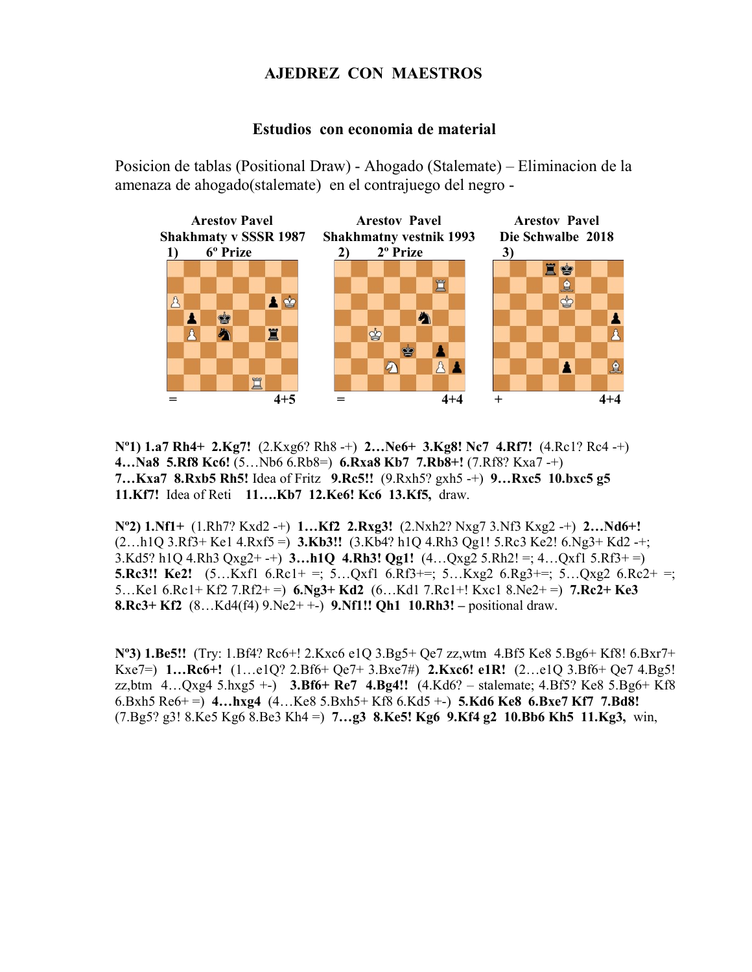## AJEDREZ CON MAESTROS

## Estudios con economia de material

Posicion de tablas (Positional Draw) - Ahogado (Stalemate) – Eliminacion de la amenaza de ahogado(stalemate) en el contrajuego del negro -



 $N^{0}$ 1) 1.a7 Rh4+ 2.Kg7! (2.Kxg6? Rh8 -+) 2...Ne6+ 3.Kg8! Nc7 4.Rf7! (4.Rc1? Rc4 -+) 4…Na8 5.Rf8 Kc6! (5…Nb6 6.Rb8=) 6.Rxa8 Kb7 7.Rb8+! (7.Rf8? Kxa7 -+) 7…Kxa7 8.Rxb5 Rh5! Idea of Fritz 9.Rc5!! (9.Rxh5? gxh5 -+) 9…Rxc5 10.bxc5 g5 11.Kf7! Idea of Reti 11….Kb7 12.Ke6! Kc6 13.Kf5, draw.

Nº2) 1.Nf1+ (1.Rh7? Kxd2 -+) 1…Kf2 2.Rxg3! (2.Nxh2? Nxg7 3.Nf3 Kxg2 -+) 2…Nd6+!  $(2...h1Q \cdot 3.Rf3+Ke1 \cdot 4.Rxf5=)$  3.Kb3!!  $(3.Kb4? h1Q \cdot 4.Rh3 Qg1! 5.Rc3 Ke2! 6.Ng3+Kd2-+;$ 3.Kd5? h1Q 4.Rh3 Qxg2+ -+) **3...h1Q 4.Rh3! Qg1!**  $(4...Qxg2 5.Rh2! =; 4...Qxf1 5.Rf3+ =)$ **5.Rc3!! Ke2!** (5...Kxfl 6.Rc1+ =; 5...Qxfl 6.Rf3+=; 5...Kxg2 6.Rg3+=; 5...Qxg2 6.Rc2+ =; 5...Ke1 6.Rc1+ Kf2 7.Rf2+ =  $\,$  6.Ng3+ Kd2 (6...Kd1 7.Rc1+! Kxc1 8.Ne2+ =  $\,$  7.Rc2+ Ke3 8.Rc3+ Kf2 (8…Kd4(f4) 9.Ne2+ +-) 9.Nf1!! Qh1 10.Rh3! – positional draw.

Nº3) 1.Be5!! (Try: 1.Bf4? Rc6+! 2.Kxc6 e1Q 3.Bg5+ Qe7 zz,wtm 4.Bf5 Ke8 5.Bg6+ Kf8! 6.Bxr7+ Kxe7=) 1…Rc6+! (1…e1Q? 2.Bf6+ Qe7+ 3.Bxe7#) 2.Kxc6! e1R! (2…e1Q 3.Bf6+ Qe7 4.Bg5! zz,btm  $4...Qxg4$  5.hxg5 +-) 3.Bf6+ Re7  $4.Bg4!!$  (4.Kd6? – stalemate; 4.Bf5? Ke8 5.Bg6+ Kf8 6.Bxh5 Re6+ =  $\pm$  4... hxg4 (4... Ke8 5.Bxh5+ Kf8 6.Kd5 +-) 5.Kd6 Ke8 6.Bxe7 Kf7 7.Bd8!  $(7.Bg5? g3! 8.Ke5 Kg6 8.Be3 Kh4 =) 7...g3 8.Ke5! Kg6 9.Kf4 g2 10.Bb6 Kh5 11.Kg3, win,$